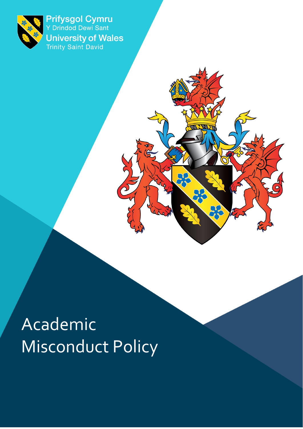

<span id="page-0-0"></span>Prifysgol Cymru<br>Y Drindod Dewi Sant **University of Wales**<br>Trinity Saint David

# Academic Misconduct Policy

**DC**<br>22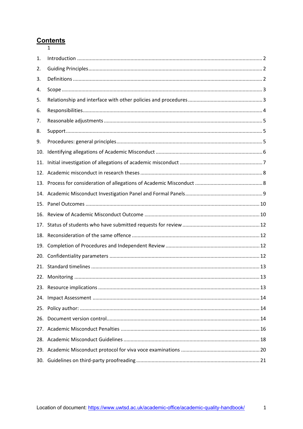# $\frac{\text{Contents}}{1}$

| 1.  |  |
|-----|--|
| 2.  |  |
| 3.  |  |
| 4.  |  |
| 5.  |  |
| 6.  |  |
| 7.  |  |
| 8.  |  |
| 9.  |  |
| 10. |  |
| 11. |  |
| 12. |  |
| 13. |  |
|     |  |
| 15. |  |
| 16. |  |
| 17. |  |
| 18. |  |
| 19. |  |
| 20. |  |
| 21. |  |
|     |  |
|     |  |
|     |  |
|     |  |
| 26. |  |
|     |  |
|     |  |
|     |  |
|     |  |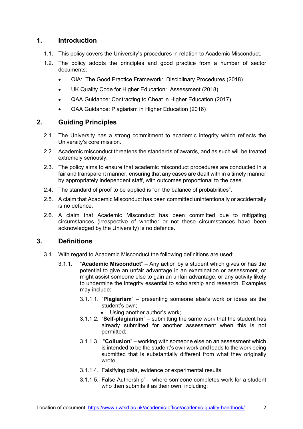# <span id="page-2-0"></span>**1. Introduction**

- 1.1. This policy covers the University's procedures in relation to Academic Misconduct.
- 1.2. The policy adopts the principles and good practice from a number of sector documents:
	- OIA: The Good Practice Framework: Disciplinary Procedures (2018)
	- UK Quality Code for Higher Education: Assessment (2018)
	- QAA Guidance: Contracting to Cheat in Higher Education (2017)
	- QAA Guidance: Plagiarism in Higher Education (2016)

# <span id="page-2-1"></span>**2. Guiding Principles**

- 2.1. The University has a strong commitment to academic integrity which reflects the University's core mission.
- 2.2. Academic misconduct threatens the standards of awards, and as such will be treated extremely seriously.
- 2.3. The policy aims to ensure that academic misconduct procedures are conducted in a fair and transparent manner, ensuring that any cases are dealt with in a timely manner by appropriately independent staff, with outcomes proportional to the case.
- 2.4. The standard of proof to be applied is "on the balance of probabilities".
- 2.5. A claim that Academic Misconduct has been committed unintentionally or accidentally is no defence.
- 2.6. A claim that Academic Misconduct has been committed due to mitigating circumstances (irrespective of whether or not these circumstances have been acknowledged by the University) is no defence.

# <span id="page-2-2"></span>**3. Definitions**

- 3.1. With regard to Academic Misconduct the following definitions are used:
	- 3.1.1. "**Academic Misconduct**" Any action by a student which gives or has the potential to give an unfair advantage in an examination or assessment, or might assist someone else to gain an unfair advantage, or any activity likely to undermine the integrity essential to scholarship and research. Examples may include:
		- 3.1.1.1. "**Plagiarism**" presenting someone else's work or ideas as the student's own;
			- Using another author's work;
		- 3.1.1.2. "**Self-plagiarism**" submitting the same work that the student has already submitted for another assessment when this is not permitted;
		- 3.1.1.3. "**Collusion**" working with someone else on an assessment which is intended to be the student's own work and leads to the work being submitted that is substantially different from what they originally wrote;
		- 3.1.1.4. Falsifying data, evidence or experimental results
		- 3.1.1.5. False Authorship" where someone completes work for a student who then submits it as their own, including: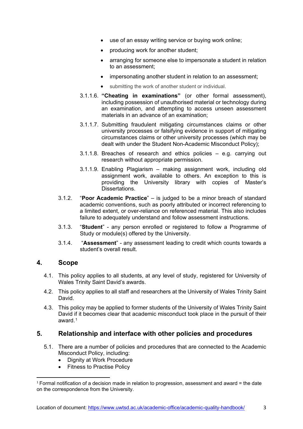- use of an essay writing service or buying work online;
- producing work for another student;
- arranging for someone else to impersonate a student in relation to an assessment;
- impersonating another student in relation to an assessment;
- submitting the work of another student or individual.
- 3.1.1.6. **"Cheating in examinations"** (or other formal assessment), including possession of unauthorised material or technology during an examination, and attempting to access unseen assessment materials in an advance of an examination;
- 3.1.1.7. Submitting fraudulent mitigating circumstances claims or other university processes or falsifying evidence in support of mitigating circumstances claims or other university processes (which may be dealt with under the Student Non-Academic Misconduct Policy);
- 3.1.1.8. Breaches of research and ethics policies e.g. carrying out research without appropriate permission.
- 3.1.1.9. Enabling Plagiarism making assignment work, including old assignment work, available to others. An exception to this is providing the University library with copies of Master's Dissertations.
- 3.1.2. "**Poor Academic Practice**" is judged to be a minor breach of standard academic conventions, such as poorly attributed or incorrect referencing to a limited extent, or over-reliance on referenced material. This also includes failure to adequately understand and follow assessment instructions.
- 3.1.3. "**Student**" any person enrolled or registered to follow a Programme of Study or module(s) offered by the University.
- 3.1.4. "**Assessment**" any assessment leading to credit which counts towards a student's overall result.

#### <span id="page-3-0"></span>**4. Scope**

- 4.1. This policy applies to all students, at any level of study, registered for University of Wales Trinity Saint David's awards.
- 4.2. This policy applies to all staff and researchers at the University of Wales Trinity Saint David.
- 4.3. This policy may be applied to former students of the University of Wales Trinity Saint David if it becomes clear that academic misconduct took place in the pursuit of their award $1$

#### <span id="page-3-1"></span>**5. Relationship and interface with other policies and procedures**

- 5.1. There are a number of policies and procedures that are connected to the Academic Misconduct Policy, including:
	- Dignity at Work Procedure
	- **Fitness to Practise Policy**

<span id="page-3-2"></span> $1$  Formal notification of a decision made in relation to progression, assessment and award = the date on the correspondence from the University.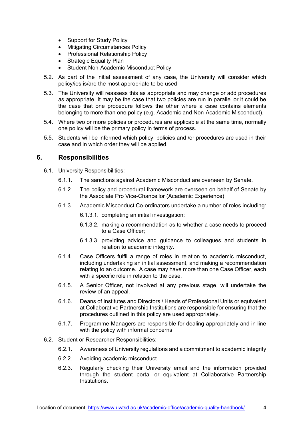- Support for Study Policy
- Mitigating Circumstances Policy
- Professional Relationship Policy
- Strategic Equality Plan
- Student Non-Academic Misconduct Policy
- 5.2. As part of the initial assessment of any case, the University will consider which policy/ies is/are the most appropriate to be used
- 5.3. The University will reassess this as appropriate and may change or add procedures as appropriate. It may be the case that two policies are run in parallel or it could be the case that one procedure follows the other where a case contains elements belonging to more than one policy (e.g. Academic and Non-Academic Misconduct).
- 5.4. Where two or more policies or procedures are applicable at the same time, normally one policy will be the primary policy in terms of process.
- 5.5. Students will be informed which policy, policies and /or procedures are used in their case and in which order they will be applied.

#### <span id="page-4-0"></span>**6. Responsibilities**

- 6.1. University Responsibilities:
	- 6.1.1. The sanctions against Academic Misconduct are overseen by Senate.
	- 6.1.2. The policy and procedural framework are overseen on behalf of Senate by the Associate Pro Vice-Chancellor (Academic Experience).
	- 6.1.3. Academic Misconduct Co-ordinators undertake a number of roles including:
		- 6.1.3.1. completing an initial investigation;
		- 6.1.3.2. making a recommendation as to whether a case needs to proceed to a Case Officer;
		- 6.1.3.3. providing advice and guidance to colleagues and students in relation to academic integrity.
	- 6.1.4. Case Officers fulfil a range of roles in relation to academic misconduct, including undertaking an initial assessment, and making a recommendation relating to an outcome. A case may have more than one Case Officer, each with a specific role in relation to the case.
	- 6.1.5. A Senior Officer, not involved at any previous stage, will undertake the review of an appeal.
	- 6.1.6. Deans of Institutes and Directors / Heads of Professional Units or equivalent at Collaborative Partnership Institutions are responsible for ensuring that the procedures outlined in this policy are used appropriately.
	- 6.1.7. Programme Managers are responsible for dealing appropriately and in line with the policy with informal concerns.
- 6.2. Student or Researcher Responsibilities:
	- 6.2.1. Awareness of University regulations and a commitment to academic integrity
	- 6.2.2. Avoiding academic misconduct
	- 6.2.3. Regularly checking their University email and the information provided through the student portal or equivalent at Collaborative Partnership **Institutions**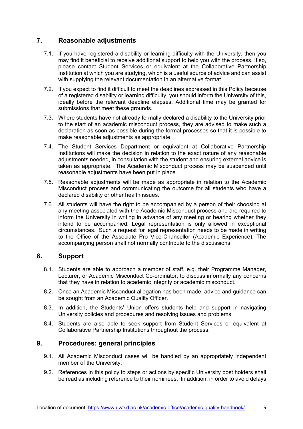# <span id="page-5-0"></span>**7. Reasonable adjustments**

- 7.1. If you have registered a disability or learning difficulty with the University, then you may find it beneficial to receive additional support to help you with the process. If so, please contact Student Services or equivalent at the Collaborative Partnership Institution at which you are studying, which is a useful source of advice and can assist with supplying the relevant documentation in an alternative format.
- 7.2. If you expect to find it difficult to meet the deadlines expressed in this Policy because of a registered disability or learning difficulty, you should inform the University of this, ideally before the relevant deadline elapses. Additional time may be granted for submissions that meet these grounds.
- 7.3. Where students have not already formally declared a disability to the University prior to the start of an academic misconduct process, they are advised to make such a declaration as soon as possible during the formal processes so that it is possible to make reasonable adjustments as appropriate.
- 7.4. The Student Services Department or equivalent at Collaborative Partnership Institutions will make the decision in relation to the exact nature of any reasonable adjustments needed, in consultation with the student and ensuring external advice is taken as appropriate. The Academic Misconduct process may be suspended until reasonable adjustments have been put in place.
- 7.5. Reasonable adjustments will be made as appropriate in relation to the Academic Misconduct process and communicating the outcome for all students who have a declared disability or other health issues.
- 7.6. All students will have the right to be accompanied by a person of their choosing at any meeting associated with the Academic Misconduct process and are required to inform the University in writing in advance of any meeting or hearing whether they intend to be accompanied. Legal representation is only allowed in exceptional circumstances. Such a request for legal representation needs to be made in writing to the Office of the Associate Pro Vice-Chancellor (Academic Experience). The accompanying person shall not normally contribute to the discussions.

#### <span id="page-5-1"></span>**8. Support**

- 8.1. Students are able to approach a member of staff, e.g. their Programme Manager, Lecturer, or Academic Misconduct Co-ordinator, to discuss informally any concerns that they have in relation to academic integrity or academic misconduct.
- 8.2. Once an Academic Misconduct allegation has been made, advice and guidance can be sought from an Academic Quality Officer.
- 8.3. In addition, the Students' Union offers students help and support in navigating University policies and procedures and resolving issues and problems.
- 8.4. Students are also able to seek support from Student Services or equivalent at Collaborative Partnership Institutions throughout the process.

# <span id="page-5-2"></span>**9. Procedures: general principles**

- 9.1. All Academic Misconduct cases will be handled by an appropriately independent member of the University.
- 9.2. References in this policy to steps or actions by specific University post holders shall be read as including reference to their nominees. In addition, in order to avoid delays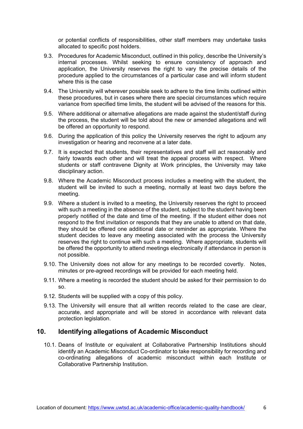or potential conflicts of responsibilities, other staff members may undertake tasks allocated to specific post holders.

- 9.3. Procedures for Academic Misconduct, outlined in this policy, describe the University's internal processes. Whilst seeking to ensure consistency of approach and application, the University reserves the right to vary the precise details of the procedure applied to the circumstances of a particular case and will inform student where this is the case
- 9.4. The University will wherever possible seek to adhere to the time limits outlined within these procedures, but in cases where there are special circumstances which require variance from specified time limits, the student will be advised of the reasons for this.
- 9.5. Where additional or alternative allegations are made against the student/staff during the process, the student will be told about the new or amended allegations and will be offered an opportunity to respond.
- 9.6. During the application of this policy the University reserves the right to adjourn any investigation or hearing and reconvene at a later date.
- 9.7. It is expected that students, their representatives and staff will act reasonably and fairly towards each other and will treat the appeal process with respect. Where students or staff contravene Dignity at Work principles, the University may take disciplinary action.
- 9.8. Where the Academic Misconduct process includes a meeting with the student, the student will be invited to such a meeting, normally at least two days before the meeting.
- 9.9. Where a student is invited to a meeting, the University reserves the right to proceed with such a meeting in the absence of the student, subject to the student having been properly notified of the date and time of the meeting. If the student either does not respond to the first invitation or responds that they are unable to attend on that date, they should be offered one additional date or reminder as appropriate. Where the student decides to leave any meeting associated with the process the University reserves the right to continue with such a meeting. Where appropriate, students will be offered the opportunity to attend meetings electronically if attendance in person is not possible.
- 9.10. The University does not allow for any meetings to be recorded covertly. Notes, minutes or pre-agreed recordings will be provided for each meeting held.
- 9.11. Where a meeting is recorded the student should be asked for their permission to do so.
- 9.12. Students will be supplied with a copy of this policy.
- 9.13. The University will ensure that all written records related to the case are clear, accurate, and appropriate and will be stored in accordance with relevant data protection legislation.

#### <span id="page-6-0"></span>**10. Identifying allegations of Academic Misconduct**

10.1. Deans of Institute or equivalent at Collaborative Partnership Institutions should identify an Academic Misconduct Co-ordinator to take responsibility for recording and co-ordinating allegations of academic misconduct within each Institute or Collaborative Partnership Institution.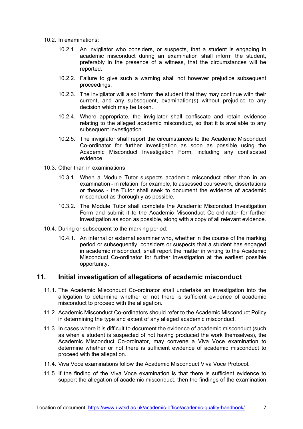- 10.2. In examinations:
	- 10.2.1. An invigilator who considers, or suspects, that a student is engaging in academic misconduct during an examination shall inform the student, preferably in the presence of a witness, that the circumstances will be reported.
	- 10.2.2. Failure to give such a warning shall not however prejudice subsequent proceedings.
	- 10.2.3. The invigilator will also inform the student that they may continue with their current, and any subsequent, examination(s) without prejudice to any decision which may be taken.
	- 10.2.4. Where appropriate, the invigilator shall confiscate and retain evidence relating to the alleged academic misconduct, so that it is available to any subsequent investigation.
	- 10.2.5. The invigilator shall report the circumstances to the Academic Misconduct Co-ordinator for further investigation as soon as possible using the Academic Misconduct Investigation Form, including any confiscated evidence.
- 10.3. Other than in examinations
	- 10.3.1. When a Module Tutor suspects academic misconduct other than in an examination - in relation, for example, to assessed coursework, dissertations or theses - the Tutor shall seek to document the evidence of academic misconduct as thoroughly as possible.
	- 10.3.2. The Module Tutor shall complete the Academic Misconduct Investigation Form and submit it to the Academic Misconduct Co-ordinator for further investigation as soon as possible, along with a copy of all relevant evidence.
- 10.4. During or subsequent to the marking period:
	- 10.4.1. An internal or external examiner who, whether in the course of the marking period or subsequently, considers or suspects that a student has engaged in academic misconduct, shall report the matter in writing to the Academic Misconduct Co-ordinator for further investigation at the earliest possible opportunity.

#### <span id="page-7-0"></span>**11. Initial investigation of allegations of academic misconduct**

- 11.1. The Academic Misconduct Co-ordinator shall undertake an investigation into the allegation to determine whether or not there is sufficient evidence of academic misconduct to proceed with the allegation.
- 11.2. Academic Misconduct Co-ordinators should refer to the Academic Misconduct Policy in determining the type and extent of any alleged academic misconduct.
- 11.3. In cases where it is difficult to document the evidence of academic misconduct (such as when a student is suspected of not having produced the work themselves), the Academic Misconduct Co-ordinator, may convene a Viva Voce examination to determine whether or not there is sufficient evidence of academic misconduct to proceed with the allegation.
- 11.4. Viva Voce examinations follow the Academic Misconduct Viva Voce Protocol.
- 11.5. If the finding of the Viva Voce examination is that there is sufficient evidence to support the allegation of academic misconduct, then the findings of the examination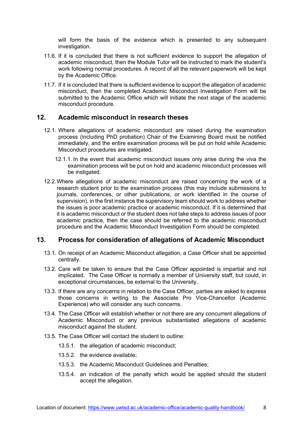will form the basis of the evidence which is presented to any subsequent investigation.

- 11.6. If it is concluded that there is not sufficient evidence to support the allegation of academic misconduct, then the Module Tutor will be instructed to mark the student's work following normal procedures. A record of all the relevant paperwork will be kept by the Academic Office.
- 11.7. If it is concluded that there is sufficient evidence to support the allegation of academic misconduct, then the completed Academic Misconduct Investigation Form will be submitted to the Academic Office which will initiate the next stage of the academic misconduct procedure.

#### <span id="page-8-0"></span>**12. Academic misconduct in research theses**

- 12.1. Where allegations of academic misconduct are raised during the examination process (including PhD probation) Chair of the Examining Board must be notified immediately, and the entire examination process will be put on hold while Academic Misconduct procedures are instigated.
	- 12.1.1. In the event that academic misconduct issues only arise during the viva the examination process will be put on hold and academic misconduct processes will be instigated.
- 12.2.Where allegations of academic misconduct are raised concerning the work of a research student prior to the examination process (this may include submissions to journals, conferences, or other publications, or work identified in the course of supervision), in the first instance the supervisory team should work to address whether the issues is poor academic practice or academic misconduct. If it is determined that it is academic misconduct or the student does not take steps to address issues of poor academic practice, then the case should be referred to the academic misconduct procedure and the Academic Misconduct Investigation Form should be completed.

#### <span id="page-8-1"></span>**13. Process for consideration of allegations of Academic Misconduct**

- 13.1. On receipt of an Academic Misconduct allegation, a Case Officer shall be appointed centrally.
- 13.2. Care will be taken to ensure that the Case Officer appointed is impartial and not implicated. The Case Officer is normally a member of University staff, but could, in exceptional circumstances, be external to the University.
- 13.3. If there are any concerns in relation to the Case Officer, parties are asked to express those concerns in writing to the Associate Pro Vice-Chancellor (Academic Experience) who will consider any such concerns.
- 13.4. The Case Officer will establish whether or not there are any concurrent allegations of Academic Misconduct or any previous substantiated allegations of academic misconduct against the student.
- 13.5. The Case Officer will contact the student to outline:
	- 13.5.1. the allegation of academic misconduct;
	- 13.5.2. the evidence available;
	- 13.5.3. the Academic Misconduct Guidelines and Penalties;
	- 13.5.4. an indication of the penalty which would be applied should the student accept the allegation.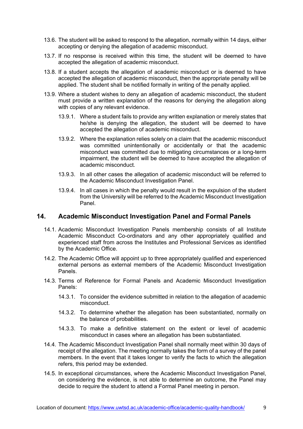- 13.6. The student will be asked to respond to the allegation, normally within 14 days, either accepting or denying the allegation of academic misconduct.
- 13.7. If no response is received within this time, the student will be deemed to have accepted the allegation of academic misconduct.
- 13.8. If a student accepts the allegation of academic misconduct or is deemed to have accepted the allegation of academic misconduct, then the appropriate penalty will be applied. The student shall be notified formally in writing of the penalty applied.
- 13.9. Where a student wishes to deny an allegation of academic misconduct, the student must provide a written explanation of the reasons for denying the allegation along with copies of any relevant evidence.
	- 13.9.1. Where a student fails to provide any written explanation or merely states that he/she is denying the allegation, the student will be deemed to have accepted the allegation of academic misconduct.
	- 13.9.2. Where the explanation relies solely on a claim that the academic misconduct was committed unintentionally or accidentally or that the academic misconduct was committed due to mitigating circumstances or a long-term impairment, the student will be deemed to have accepted the allegation of academic misconduct.
	- 13.9.3. In all other cases the allegation of academic misconduct will be referred to the Academic Misconduct Investigation Panel.
	- 13.9.4. In all cases in which the penalty would result in the expulsion of the student from the University will be referred to the Academic Misconduct Investigation Panel.

#### <span id="page-9-0"></span>**14. Academic Misconduct Investigation Panel and Formal Panels**

- 14.1. Academic Misconduct Investigation Panels membership consists of all Institute Academic Misconduct Co-ordinators and any other appropriately qualified and experienced staff from across the Institutes and Professional Services as identified by the Academic Office.
- 14.2. The Academic Office will appoint up to three appropriately qualified and experienced external persons as external members of the Academic Misconduct Investigation Panels.
- 14.3. Terms of Reference for Formal Panels and Academic Misconduct Investigation Panels:
	- 14.3.1. To consider the evidence submitted in relation to the allegation of academic misconduct.
	- 14.3.2. To determine whether the allegation has been substantiated, normally on the balance of probabilities.
	- 14.3.3. To make a definitive statement on the extent or level of academic misconduct in cases where an allegation has been substantiated.
- 14.4. The Academic Misconduct Investigation Panel shall normally meet within 30 days of receipt of the allegation. The meeting normally takes the form of a survey of the panel members. In the event that it takes longer to verify the facts to which the allegation refers, this period may be extended.
- 14.5. In exceptional circumstances, where the Academic Misconduct Investigation Panel, on considering the evidence, is not able to determine an outcome, the Panel may decide to require the student to attend a Formal Panel meeting in person.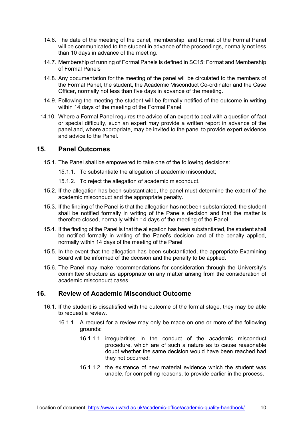- 14.6. The date of the meeting of the panel, membership, and format of the Formal Panel will be communicated to the student in advance of the proceedings, normally not less than 10 days in advance of the meeting.
- 14.7. Membership of running of Formal Panels is defined in SC15: Format and Membership of Formal Panels
- 14.8. Any documentation for the meeting of the panel will be circulated to the members of the Formal Panel, the student, the Academic Misconduct Co-ordinator and the Case Officer, normally not less than five days in advance of the meeting.
- 14.9. Following the meeting the student will be formally notified of the outcome in writing within 14 days of the meeting of the Formal Panel.
- 14.10. Where a Formal Panel requires the advice of an expert to deal with a question of fact or special difficulty, such an expert may provide a written report in advance of the panel and, where appropriate, may be invited to the panel to provide expert evidence and advice to the Panel.

#### <span id="page-10-0"></span>**15. Panel Outcomes**

- 15.1. The Panel shall be empowered to take one of the following decisions:
	- 15.1.1. To substantiate the allegation of academic misconduct;
	- 15.1.2. To reject the allegation of academic misconduct.
- 15.2. If the allegation has been substantiated, the panel must determine the extent of the academic misconduct and the appropriate penalty.
- 15.3. If the finding of the Panel is that the allegation has not been substantiated, the student shall be notified formally in writing of the Panel's decision and that the matter is therefore closed, normally within 14 days of the meeting of the Panel.
- 15.4. If the finding of the Panel is that the allegation has been substantiated, the student shall be notified formally in writing of the Panel's decision and of the penalty applied, normally within 14 days of the meeting of the Panel.
- 15.5. In the event that the allegation has been substantiated, the appropriate Examining Board will be informed of the decision and the penalty to be applied.
- 15.6. The Panel may make recommendations for consideration through the University's committee structure as appropriate on any matter arising from the consideration of academic misconduct cases.

# <span id="page-10-1"></span>**16. Review of Academic Misconduct Outcome**

- 16.1. If the student is dissatisfied with the outcome of the formal stage, they may be able to request a review.
	- 16.1.1. A request for a review may only be made on one or more of the following grounds:
		- 16.1.1.1. irregularities in the conduct of the academic misconduct procedure, which are of such a nature as to cause reasonable doubt whether the same decision would have been reached had they not occurred;
		- 16.1.1.2. the existence of new material evidence which the student was unable, for compelling reasons, to provide earlier in the process.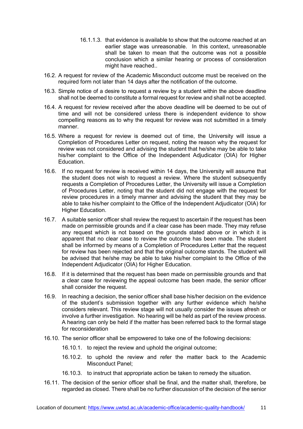- 16.1.1.3. that evidence is available to show that the outcome reached at an earlier stage was unreasonable. In this context, unreasonable shall be taken to mean that the outcome was not a possible conclusion which a similar hearing or process of consideration might have reached..
- 16.2. A request for review of the Academic Misconduct outcome must be received on the required form not later than 14 days after the notification of the outcome.
- 16.3. Simple notice of a desire to request a review by a student within the above deadline shall not be deemed to constitute a formal request for review and shall not be accepted.
- 16.4. A request for review received after the above deadline will be deemed to be out of time and will not be considered unless there is independent evidence to show compelling reasons as to why the request for review was not submitted in a timely manner.
- 16.5. Where a request for review is deemed out of time, the University will issue a Completion of Procedures Letter on request, noting the reason why the request for review was not considered and advising the student that he/she may be able to take his/her complaint to the Office of the Independent Adjudicator (OIA) for Higher Education.
- 16.6. If no request for review is received within 14 days, the University will assume that the student does not wish to request a review. Where the student subsequently requests a Completion of Procedures Letter, the University will issue a Completion of Procedures Letter, noting that the student did not engage with the request for review procedures in a timely manner and advising the student that they may be able to take his/her complaint to the Office of the Independent Adjudicator (OIA) for Higher Education.
- 16.7. A suitable senior officer shall review the request to ascertain if the request has been made on permissible grounds and if a clear case has been made. They may refuse any request which is not based on the grounds stated above or in which it is apparent that no clear case to review the outcome has been made. The student shall be informed by means of a Completion of Procedures Letter that the request for review has been rejected and that the original outcome stands. The student will be advised that he/she may be able to take his/her complaint to the Office of the Independent Adjudicator (OIA) for Higher Education.
- 16.8. If it is determined that the request has been made on permissible grounds and that a clear case for reviewing the appeal outcome has been made, the senior officer shall consider the request.
- 16.9. In reaching a decision, the senior officer shall base his/her decision on the evidence of the student's submission together with any further evidence which he/she considers relevant. This review stage will not usually consider the issues afresh or involve a further investigation. No hearing will be held as part of the review process. A hearing can only be held if the matter has been referred back to the formal stage for reconsideration
- 16.10. The senior officer shall be empowered to take one of the following decisions:
	- 16.10.1. to reject the review and uphold the original outcome;
	- 16.10.2. to uphold the review and refer the matter back to the Academic Misconduct Panel;
	- 16.10.3. to instruct that appropriate action be taken to remedy the situation.
- 16.11. The decision of the senior officer shall be final, and the matter shall, therefore, be regarded as closed. There shall be no further discussion of the decision of the senior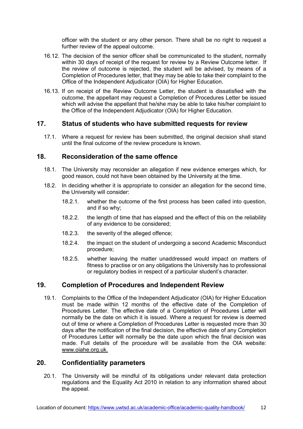officer with the student or any other person. There shall be no right to request a further review of the appeal outcome.

- 16.12. The decision of the senior officer shall be communicated to the student, normally within 30 days of receipt of the request for review by a Review Outcome letter. If the review of outcome is rejected, the student will be advised, by means of a Completion of Procedures letter, that they may be able to take their complaint to the Office of the Independent Adjudicator (OIA) for Higher Education.
- 16.13. If on receipt of the Review Outcome Letter, the student is dissatisfied with the outcome, the appellant may request a Completion of Procedures Letter be issued which will advise the appellant that he/she may be able to take his/her complaint to the Office of the Independent Adjudicator (OIA) for Higher Education.

#### <span id="page-12-0"></span>**17. Status of students who have submitted requests for review**

17.1. Where a request for review has been submitted, the original decision shall stand until the final outcome of the review procedure is known.

#### <span id="page-12-1"></span>**18. Reconsideration of the same offence**

- 18.1. The University may reconsider an allegation if new evidence emerges which, for good reason, could not have been obtained by the University at the time.
- 18.2. In deciding whether it is appropriate to consider an allegation for the second time, the University will consider:
	- 18.2.1. whether the outcome of the first process has been called into question, and if so why;
	- 18.2.2. the length of time that has elapsed and the effect of this on the reliability of any evidence to be considered;
	- 18.2.3. the severity of the alleged offence;
	- 18.2.4. the impact on the student of undergoing a second Academic Misconduct procedure;
	- 18.2.5. whether leaving the matter unaddressed would impact on matters of fitness to practise or on any obligations the University has to professional or regulatory bodies in respect of a particular student's character.

#### <span id="page-12-2"></span>**19. Completion of Procedures and Independent Review**

19.1. Complaints to the Office of the Independent Adjudicator (OIA) for Higher Education must be made within 12 months of the effective date of the Completion of Procedures Letter. The effective date of a Completion of Procedures Letter will normally be the date on which it is issued. Where a request for review is deemed out of time or where a Completion of Procedures Letter is requested more than 30 days after the notification of the final decision, the effective date of any Completion of Procedures Letter will normally be the date upon which the final decision was made. Full details of the procedure will be available from the OIA website: [www.oiahe.org.uk.](http://www.oiahe.org.uk/)

#### <span id="page-12-3"></span>**20. Confidentiality parameters**

20.1. The University will be mindful of its obligations under relevant data protection regulations and the Equality Act 2010 in relation to any information shared about the appeal.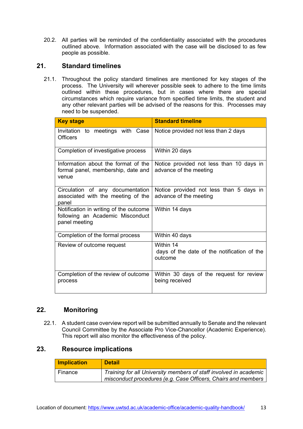20.2. All parties will be reminded of the confidentiality associated with the procedures outlined above. Information associated with the case will be disclosed to as few people as possible.

# <span id="page-13-0"></span>**21. Standard timelines**

21.1. Throughout the policy standard timelines are mentioned for key stages of the process. The University will wherever possible seek to adhere to the time limits outlined within these procedures, but in cases where there are special circumstances which require variance from specified time limits, the student and any other relevant parties will be advised of the reasons for this. Processes may need to be suspended.

| <b>Key stage</b>                                                                            | <b>Standard timeline</b>                                            |
|---------------------------------------------------------------------------------------------|---------------------------------------------------------------------|
| Invitation to meetings with Case<br>Officers                                                | Notice provided not less than 2 days                                |
| Completion of investigative process                                                         | Within 20 days                                                      |
| Information about the format of the<br>formal panel, membership, date and<br>venue          | Notice provided not less than 10 days in<br>advance of the meeting  |
| Circulation of any documentation<br>associated with the meeting of the<br>panel             | Notice provided not less than 5 days in<br>advance of the meeting   |
| Notification in writing of the outcome<br>following an Academic Misconduct<br>panel meeting | Within 14 days                                                      |
| Completion of the formal process                                                            | Within 40 days                                                      |
| Review of outcome request                                                                   | Within 14<br>days of the date of the notification of the<br>outcome |
| Completion of the review of outcome<br>process                                              | Within 30 days of the request for review<br>being received          |

# **22. Monitoring**

<span id="page-13-1"></span>22.1. A student case overview report will be submitted annually to Senate and the relevant Council Committee by the Associate Pro Vice-Chancellor (Academic Experience). This report will also monitor the effectiveness of the policy.

# <span id="page-13-2"></span>**23. Resource implications**

| <b>Implication</b> | <b>Detail</b>                                                                                                                      |
|--------------------|------------------------------------------------------------------------------------------------------------------------------------|
| Finance            | Training for all University members of staff involved in academic<br>misconduct procedures (e.g. Case Officers, Chairs and members |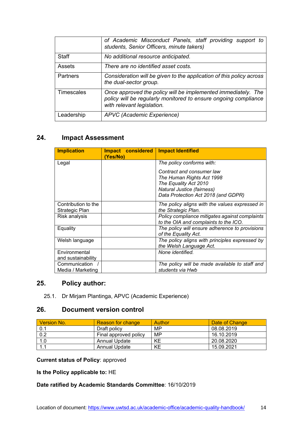|            | of Academic Misconduct Panels, staff providing support to<br>students, Senior Officers, minute takers)                                                         |  |  |
|------------|----------------------------------------------------------------------------------------------------------------------------------------------------------------|--|--|
| Staff      | No additional resource anticipated.                                                                                                                            |  |  |
| Assets     | There are no identified asset costs.                                                                                                                           |  |  |
| Partners   | Consideration will be given to the application of this policy across<br>the dual-sector group.                                                                 |  |  |
| Timescales | Once approved the policy will be implemented immediately. The<br>policy will be regularly monitored to ensure ongoing compliance<br>with relevant legislation. |  |  |
| Leadership | APVC (Academic Experience)                                                                                                                                     |  |  |

# <span id="page-14-0"></span>**24. Impact Assessment**

| <b>Implication</b>                    | Impact considered<br>(Yes/No) | <b>Impact Identified</b>                                                                                                                             |
|---------------------------------------|-------------------------------|------------------------------------------------------------------------------------------------------------------------------------------------------|
| Legal                                 |                               | The policy conforms with:                                                                                                                            |
|                                       |                               | Contract and consumer law<br>The Human Rights Act 1998<br>The Equality Act 2010<br>Natural Justice (fairness)<br>Data Protection Act 2018 (and GDPR) |
| Contribution to the<br>Strategic Plan |                               | The policy aligns with the values expressed in<br>the Strategic Plan.                                                                                |
| Risk analysis                         |                               | Policy compliance mitigates against complaints<br>to the OIA and complaints to the ICO.                                                              |
| Equality                              |                               | The policy will ensure adherence to provisions<br>of the Equality Act.                                                                               |
| Welsh language                        |                               | The policy aligns with principles expressed by<br>the Welsh Language Act.                                                                            |
| Environmental<br>and sustainability   |                               | None identified.                                                                                                                                     |
| Communication<br>Media / Marketing    |                               | The policy will be made available to staff and<br>students via Hwb                                                                                   |

# <span id="page-14-1"></span>**25. Policy author:**

25.1. Dr Mirjam Plantinga, APVC (Academic Experience)

# <span id="page-14-2"></span>**26. Document version control**

| <b>Version No.</b> | <b>Reason for change</b> | Author | Date of Change |
|--------------------|--------------------------|--------|----------------|
| 0.1                | Draft policy             | MP     | 08.08.2019     |
| 0.2                | Final approved policy    | MP     | 16.10.2019     |
| 1.0                | <b>Annual Update</b>     | ΚE     | 20.08.2020     |
| 1.1                | Annual Update            | ΚE     | 15.09.2021     |

**Current status of Policy**: approved

**Is the Policy applicable to:** HE

#### **Date ratified by Academic Standards Committee**: 16/10/2019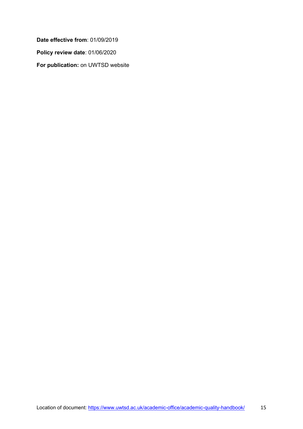**Date effective from**: 01/09/2019 **Policy review date**: 01/06/2020 **For publication:** on UWTSD website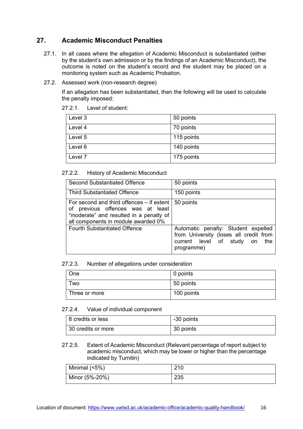# <span id="page-16-0"></span>**27. Academic Misconduct Penalties**

- 27.1. In all cases where the allegation of Academic Misconduct is substantiated (either by the student's own admission or by the findings of an Academic Misconduct), the outcome is noted on the student's record and the student may be placed on a monitoring system such as Academic Probation.
- 27.2. Assessed work (non-research degree)

If an allegation has been substantiated, then the following will be used to calculate the penalty imposed:

#### 27.2.1. Level of student:

| Level 3            | 50 points  |
|--------------------|------------|
| Level 4            | 70 points  |
| Level 5            | 115 points |
| Level 6            | 140 points |
| Level <sub>7</sub> | 175 points |

#### 27.2.2. History of Academic Misconduct

| <b>Second Substantiated Offence</b>                                                                                                                              | 50 points                                                                                                                       |
|------------------------------------------------------------------------------------------------------------------------------------------------------------------|---------------------------------------------------------------------------------------------------------------------------------|
| <b>Third Substantiated Offence</b>                                                                                                                               | 150 points                                                                                                                      |
| For second and third offences – if extent<br>of previous offences was at least<br>"moderate" and resulted in a penalty of<br>all components in module awarded 0% | 50 points                                                                                                                       |
| <b>Fourth Substantiated Offence</b>                                                                                                                              | Automatic penalty: Student expelled<br>from University (loses all credit from<br>current level of study on<br>the<br>programme) |

#### 27.2.3. Number of allegations under consideration

| One           | 0 points   |
|---------------|------------|
| l wo          | 50 points  |
| Three or more | 100 points |

#### 27.2.4. Value of individual component

| 8 credits or less  | -30 points |
|--------------------|------------|
| 30 credits or more | 30 points  |

#### 27.2.5. Extent of Academic Misconduct (Relevant percentage of report subject to academic misconduct, which may be lower or higher than the percentage indicated by Turnitin)

| Minimal $(5%)$ | 210 |
|----------------|-----|
| Minor (5%-20%) | 235 |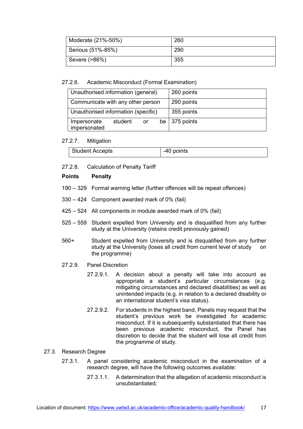| Moderate (21%-50%) | 260 |
|--------------------|-----|
| Serious (51%-85%)  | 290 |
| Severe (>86%)      | 355 |

#### 27.2.6. Academic Misconduct (Formal Examination)

| Unauthorised information (general)           | 260 points            |
|----------------------------------------------|-----------------------|
| Communicate with any other person            | 290 points            |
| Unauthorised information (specific)          | 355 points            |
| student<br>Impersonate<br>or<br>impersonated | be $\vert$ 375 points |

#### 27.2.7. Mitigation

| Student Accepts | -40 points |
|-----------------|------------|

27.2.8. Calculation of Penalty Tariff

#### **Points Penalty**

- 190 329 Formal warning letter (further offences will be repeat offences)
- 330 424 Component awarded mark of 0% (fail)
- 425 524 All components in module awarded mark of 0% (fail)
- 525 559 Student expelled from University and is disqualified from any further study at the University (retains credit previously gained)
- 560+ Student expelled from University and is disqualified from any further study at the University (loses all credit from current level of study on the programme)
- 27.2.9. Panel Discretion
	- 27.2.9.1. A decision about a penalty will take into account as appropriate a student's particular circumstances (e.g. mitigating circumstances and declared disabilities) as well as unintended impacts (e.g. in relation to a declared disability or an international student's visa status).
	- 27.2.9.2. For students in the highest band, Panels may request that the student's previous work be investigated for academic misconduct. If it is subsequently substantiated that there has been previous academic misconduct, the Panel has discretion to decide that the student will lose all credit from the programme of study.

#### 27.3. Research Degree

- 27.3.1. A panel considering academic misconduct in the examination of a research degree, will have the following outcomes available:
	- 27.3.1.1. A determination that the allegation of academic misconduct is unsubstantiated;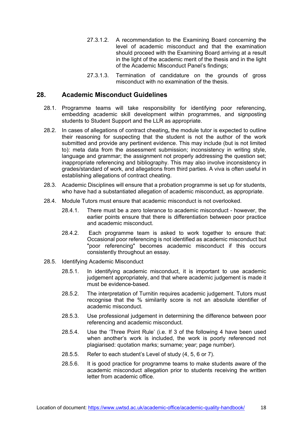- 27.3.1.2. A recommendation to the Examining Board concerning the level of academic misconduct and that the examination should proceed with the Examining Board arriving at a result in the light of the academic merit of the thesis and in the light of the Academic Misconduct Panel's findings;
- 27.3.1.3. Termination of candidature on the grounds of gross misconduct with no examination of the thesis.

#### <span id="page-18-0"></span>**28. Academic Misconduct Guidelines**

- 28.1. Programme teams will take responsibility for identifying poor referencing, embedding academic skill development within programmes, and signposting students to Student Support and the LLR as appropriate.
- 28.2. In cases of allegations of contract cheating**,** the module tutor is expected to outline their reasoning for suspecting that the student is not the author of the work submitted and provide any pertinent evidence. This may include (but is not limited to): meta data from the assessment submission; inconsistency in writing style, language and grammar; the assignment not properly addressing the question set; inappropriate referencing and bibliography. This may also involve inconsistency in grades/standard of work, and allegations from third parties. A viva is often useful in establishing allegations of contract cheating.
- 28.3. Academic Disciplines will ensure that a probation programme is set up for students, who have had a substantiated allegation of academic misconduct, as appropriate.
- 28.4. Module Tutors must ensure that academic misconduct is not overlooked.
	- 28.4.1. There must be a zero tolerance to academic misconduct however, the earlier points ensure that there is differentiation between poor practice and academic misconduct.
	- 28.4.2. Each programme team is asked to work together to ensure that: Occasional poor referencing is not identified as academic misconduct but "poor referencing" becomes academic misconduct if this occurs consistently throughout an essay.
- 28.5. Identifying Academic Misconduct
	- 28.5.1. In identifying academic misconduct, it is important to use academic judgement appropriately, and that where academic judgement is made it must be evidence-based.
	- 28.5.2. The interpretation of Turnitin requires academic judgement. Tutors must recognise that the % similarity score is not an absolute identifier of academic misconduct.
	- 28.5.3. Use professional judgement in determining the difference between poor referencing and academic misconduct.
	- 28.5.4. Use the 'Three Point Rule' (i.e. If 3 of the following 4 have been used when another's work is included, the work is poorly referenced not plagiarised: quotation marks; surname; year; page number).
	- 28.5.5. Refer to each student's Level of study (4, 5, 6 or 7).
	- 28.5.6. It is good practice for programme teams to make students aware of the academic misconduct allegation prior to students receiving the written letter from academic office.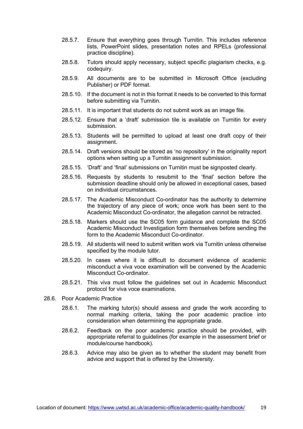- 28.5.7. Ensure that everything goes through Turnitin. This includes reference lists, PowerPoint slides, presentation notes and RPELs (professional practice discipline).
- 28.5.8. Tutors should apply necessary, subject specific plagiarism checks, e.g. codequiry.
- 28.5.9. All documents are to be submitted in Microsoft Office (excluding Publisher) or PDF format.
- 28.5.10. If the document is not in this format it needs to be converted to this format before submitting via Turnitin.
- 28.5.11. It is important that students do not submit work as an image file.
- 28.5.12. Ensure that a 'draft' submission tile is available on Turnitin for every submission.
- 28.5.13. Students will be permitted to upload at least one draft copy of their assignment.
- 28.5.14. Draft versions should be stored as 'no repository' in the originality report options when setting up a Turnitin assignment submission.
- 28.5.15. 'Draft' and 'final' submissions on Turnitin must be signposted clearly.
- 28.5.16. Requests by students to resubmit to the 'final' section before the submission deadline should only be allowed in exceptional cases, based on individual circumstances.
- 28.5.17. The Academic Misconduct Co-ordinator has the authority to determine the trajectory of any piece of work; once work has been sent to the Academic Misconduct Co-ordinator, the allegation cannot be retracted.
- 28.5.18. Markers should use the SC05 form guidance and complete the SC05 Academic Misconduct Investigation form themselves before sending the form to the Academic Misconduct Co-ordinator.
- 28.5.19. All students will need to submit written work via Turnitin unless otherwise specified by the module tutor.
- 28.5.20. In cases where it is difficult to document evidence of academic misconduct a viva voce examination will be convened by the Academic Misconduct Co-ordinator.
- 28.5.21. This viva must follow the guidelines set out in Academic Misconduct protocol for viva voce examinations.
- 28.6. Poor Academic Practice
	- 28.6.1. The marking tutor(s) should assess and grade the work according to normal marking criteria, taking the poor academic practice into consideration when determining the appropriate grade.
	- 28.6.2. Feedback on the poor academic practice should be provided, with appropriate referral to guidelines (for example in the assessment brief or module/course handbook).
	- 28.6.3. Advice may also be given as to whether the student may benefit from advice and support that is offered by the University.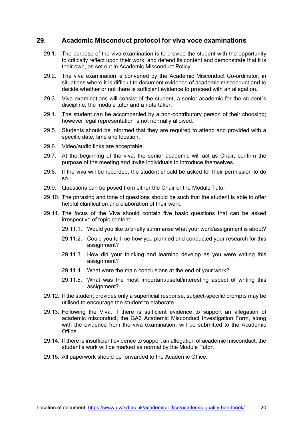#### <span id="page-20-0"></span>**29. Academic Misconduct protocol for viva voce examinations**

- 29.1. The purpose of the viva examination is to provide the student with the opportunity to critically reflect upon their work, and defend its content and demonstrate that it is their own, as set out in Academic Misconduct Policy.
- 29.2. The viva examination is convened by the Academic Misconduct Co-ordinator, in situations where it is difficult to document evidence of academic misconduct and to decide whether or not there is sufficient evidence to proceed with an allegation.
- 29.3. Viva examinations will consist of the student, a senior academic for the student`s discipline, the module tutor and a note taker.
- 29.4. The student can be accompanied by a non-contributory person of their choosing; however legal representation is not normally allowed.
- 29.5. Students should be informed that they are required to attend and provided with a specific date, time and location.
- 29.6. Video/audio links are acceptable.
- 29.7. At the beginning of the viva, the senior academic will act as Chair, confirm the purpose of the meeting and invite individuals to introduce themselves.
- 29.8. If the viva will be recorded, the student should be asked for their permission to do so.
- 29.9. Questions can be posed from either the Chair or the Module Tutor.
- 29.10. The phrasing and tone of questions should be such that the student is able to offer helpful clarification and elaboration of their work.
- 29.11. The focus of the Viva should contain five basic questions that can be asked irrespective of topic content:
	- 29.11.1. Would you like to briefly summarise what your work/assignment is about?
	- 29.11.2. Could you tell me how you planned and conducted your research for this assignment?
	- 29.11.3. How did your thinking and learning develop as you were writing this assignment?
	- 29.11.4. What were the main conclusions at the end of your work?
	- 29.11.5. What was the most important/useful/interesting aspect of writing this assignment?
- 29.12. If the student provides only a superficial response, subject-specific prompts may be utilised to encourage the student to elaborate.
- 29.13. Following the Viva, if there is sufficient evidence to support an allegation of academic misconduct, the GA6 Academic Misconduct Investigation Form, along with the evidence from the viva examination, will be submitted to the Academic **Office**
- 29.14. If there is insufficient evidence to support an allegation of academic misconduct, the student's work will be marked as normal by the Module Tutor.
- 29.15. All paperwork should be forwarded to the Academic Office.